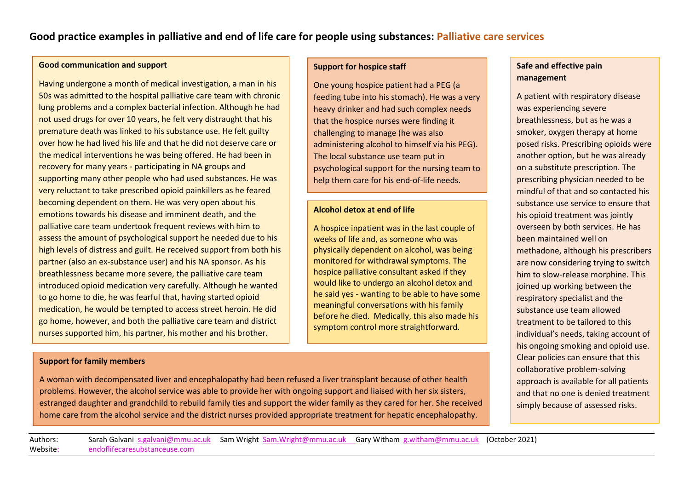# **Good practice examples in palliative and end of life care for people using substances: Palliative care services**

#### **Good communication and support**

Having undergone a month of medical investigation, a man in his 50s was admitted to the hospital palliative care team with chronic lung problems and a complex bacterial infection. Although he had not used drugs for over 10 years, he felt very distraught that his premature death was linked to his substance use. He felt guilty over how he had lived his life and that he did not deserve care or the medical interventions he was being offered. He had been in recovery for many years - participating in NA groups and supporting many other people who had used substances. He was very reluctant to take prescribed opioid painkillers as he feared becoming dependent on them. He was very open about his emotions towards his disease and imminent death, and the palliative care team undertook frequent reviews with him to assess the amount of psychological support he needed due to his high levels of distress and guilt. He received support from both his partner (also an ex-substance user) and his NA sponsor. As his breathlessness became more severe, the palliative care team introduced opioid medication very carefully. Although he wanted to go home to die, he was fearful that, having started opioid medication, he would be tempted to access street heroin. He did go home, however, and both the palliative care team and district nurses supported him, his partner, his mother and his brother.

### **Support for family members**

A woman with decompensated liver and encephalopathy had been refused a liver transplant because of other health problems. However, the alcohol service was able to provide her with ongoing support and liaised with her six sisters, estranged daughter and grandchild to rebuild family ties and support the wider family as they cared for her. She received home care from the alcohol service and the district nurses provided appropriate treatment for hepatic encephalopathy.

#### **Support for hospice staff**

One young hospice patient had a PEG (a feeding tube into his stomach). He was a very heavy drinker and had such complex needs that the hospice nurses were finding it challenging to manage (he was also administering alcohol to himself via his PEG). The local substance use team put in psychological support for the nursing team to help them care for his end-of-life needs.

#### **Alcohol detox at end of life**

A hospice inpatient was in the last couple of weeks of life and, as someone who was physically dependent on alcohol, was being monitored for withdrawal symptoms. The hospice palliative consultant asked if they would like to undergo an alcohol detox and he said yes - wanting to be able to have some meaningful conversations with his family before he died. Medically, this also made his symptom control more straightforward.

### **Safe and effective pain management**

A patient with respiratory disease was experiencing severe breathlessness, but as he was a smoker, oxygen therapy at home posed risks. Prescribing opioids were another option, but he was already on a substitute prescription. The prescribing physician needed to be mindful of that and so contacted his substance use service to ensure that his opioid treatment was jointly overseen by both services. He has been maintained well on methadone, although his prescribers are now considering trying to switch him to slow-release morphine. This joined up working between the respiratory specialist and the substance use team allowed treatment to be tailored to this individual's needs, taking account of his ongoing smoking and opioid use. Clear policies can ensure that this collaborative problem-solving approach is available for all patients and that no one is denied treatment simply because of assessed risks.

Authors: Sarah Galvani [s.galvani@mmu.ac.uk](mailto:s.galvani@mmu.ac.uk) Sam Wright [Sam.Wright@mmu.ac.uk](mailto:Sam.Wright@mmu.ac.uk) Gary Witham [g.witham@mmu.ac.uk](mailto:g.witham@mmu.ac.uk) (October 2021) Website: endoflifecaresubstanceuse.com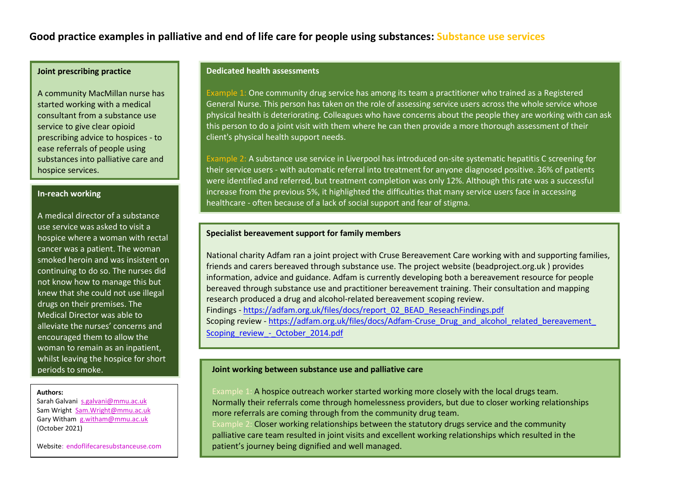## **Good practice examples in palliative and end of life care for people using substances: Substance use services**

### **Joint prescribing practice**

A community MacMillan nurse has started working with a medical consultant from a substance use service to give clear opioid prescribing advice to hospices - to ease referrals of people using substances into palliative care and hospice services.

### **In-reach working**

A medical director of a substance use service was asked to visit a hospice where a woman with rectal cancer was a patient. The woman smoked heroin and was insistent on continuing to do so. The nurses did not know how to manage this but knew that she could not use illegal drugs on their premises. The Medical Director was able to alleviate the nurses' concerns and encouraged them to allow the woman to remain as an inpatient, whilst leaving the hospice for short periods to smoke.

#### **Authors:**

Sarah Galvani [s.galvani@mmu.ac.uk](mailto:s.galvani@mmu.ac.uk)  Sam Wright [Sam.Wright@mmu.ac.uk](mailto:Sam.Wright@mmu.ac.uk)  Gary Witham [g.witham@mmu.ac.uk](mailto:g.witham@mmu.ac.uk) (October 2021)

Website: endoflifecaresubstanceuse.com

#### **Dedicated health assessments**

Example 1: One community drug service has among its team a practitioner who trained as a Registered General Nurse. This person has taken on the role of assessing service users across the whole service whose physical health is deteriorating. Colleagues who have concerns about the people they are working with can ask this person to do a joint visit with them where he can then provide a more thorough assessment of their client's physical health support needs.

Example 2: A substance use service in Liverpool has introduced on-site systematic hepatitis C screening for their service users - with automatic referral into treatment for anyone diagnosed positive. 36% of patients were identified and referred, but treatment completion was only 12%. Although this rate was a successful increase from the previous 5%, it highlighted the difficulties that many service users face in accessing healthcare - often because of a lack of social support and fear of stigma.

#### **Specialist bereavement support for family members**

National charity Adfam ran a joint project with Cruse Bereavement Care working with and supporting families, friends and carers bereaved through substance use. The project website (beadproject.org.uk ) provides information, advice and guidance. Adfam is currently developing both a bereavement resource for people bereaved through substance use and practitioner bereavement training. Their consultation and mapping research produced a drug and alcohol-related bereavement scoping review. Findings - [https://adfam.org.uk/files/docs/report\\_02\\_BEAD\\_ReseachFindings.pdf](https://adfam.org.uk/files/docs/report_02_BEAD_ReseachFindings.pdf) Scoping review - https://adfam.org.uk/files/docs/Adfam-Cruse\_Drug\_and\_alcohol\_related\_bereavement [Scoping\\_review\\_-\\_October\\_2014.pdf](https://adfam.org.uk/files/docs/Adfam-Cruse_Drug_and_alcohol_related_bereavement_%20Scoping_review_-_October_2014.pdf)

#### **Joint working between substance use and palliative care**

Example 1: A hospice outreach worker started working more closely with the local drugs team. Normally their referrals come through homelessness providers, but due to closer working relationships more referrals are coming through from the community drug team.

Example 2: Closer working relationships between the statutory drugs service and the community palliative care team resulted in joint visits and excellent working relationships which resulted in the patient's journey being dignified and well managed.

This is very much analog co-operation from drug misuse services  $\mathcal{L}_{\mathcal{A}}$